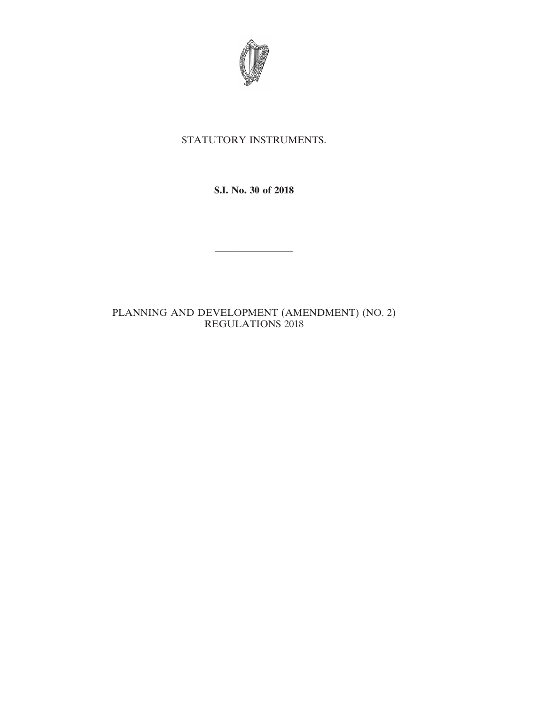

# STATUTORY INSTRUMENTS.

**S.I. No. 30 of 2018**

————————

# PLANNING AND DEVELOPMENT (AMENDMENT) (NO. 2) REGULATIONS 2018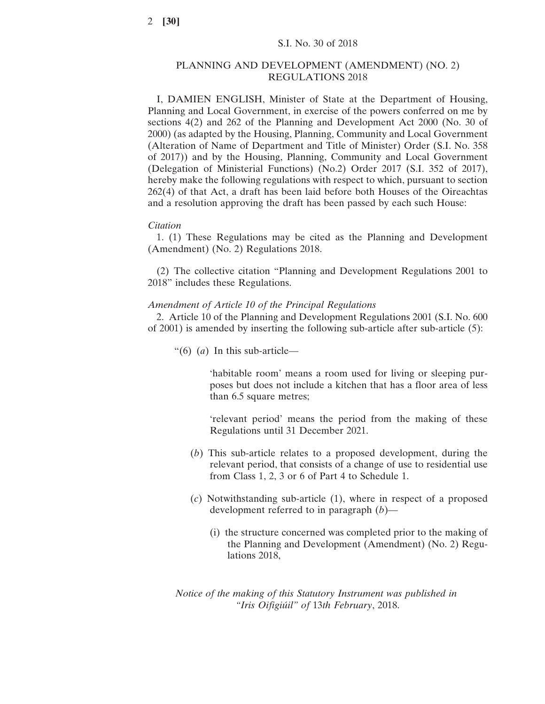### PLANNING AND DEVELOPMENT (AMENDMENT) (NO. 2) REGULATIONS 2018

I, DAMIEN ENGLISH, Minister of State at the Department of Housing, Planning and Local Government, in exercise of the powers conferred on me by sections 4(2) and 262 of the Planning and Development Act 2000 (No. 30 of 2000) (as adapted by the Housing, Planning, Community and Local Government (Alteration of Name of Department and Title of Minister) Order (S.I. No. 358 of 2017)) and by the Housing, Planning, Community and Local Government (Delegation of Ministerial Functions) (No.2) Order 2017 (S.I. 352 of 2017), hereby make the following regulations with respect to which, pursuant to section 262(4) of that Act, a draft has been laid before both Houses of the Oireachtas and a resolution approving the draft has been passed by each such House:

#### *Citation*

1. (1) These Regulations may be cited as the Planning and Development (Amendment) (No. 2) Regulations 2018.

(2) The collective citation "Planning and Development Regulations 2001 to 2018" includes these Regulations.

### *Amendment of Article 10 of the Principal Regulations*

2. Article 10 of the Planning and Development Regulations 2001 (S.I. No. 600 of 2001) is amended by inserting the following sub-article after sub-article (5):

"(6) (*a*) In this sub-article—

'habitable room' means a room used for living or sleeping purposes but does not include a kitchen that has a floor area of less than 6.5 square metres;

'relevant period' means the period from the making of these Regulations until 31 December 2021.

- (*b*) This sub-article relates to a proposed development, during the relevant period, that consists of a change of use to residential use from Class 1, 2, 3 or 6 of Part 4 to Schedule 1.
- (*c*) Notwithstanding sub-article (1), where in respect of a proposed development referred to in paragraph (*b*)—
	- (i) the structure concerned was completed prior to the making of the Planning and Development (Amendment) (No. 2) Regulations 2018,

*Notice of the making of this Statutory Instrument was published in "Iris Oifigiúil" of* 13*th February*, 2018.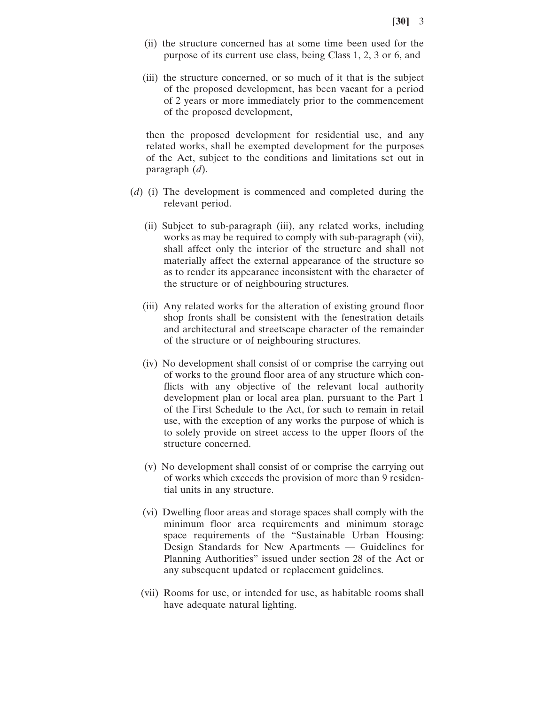- (ii) the structure concerned has at some time been used for the purpose of its current use class, being Class 1, 2, 3 or 6, and
- (iii) the structure concerned, or so much of it that is the subject of the proposed development, has been vacant for a period of 2 years or more immediately prior to the commencement of the proposed development,

then the proposed development for residential use, and any related works, shall be exempted development for the purposes of the Act, subject to the conditions and limitations set out in paragraph (*d*).

- (*d*) (i) The development is commenced and completed during the relevant period.
	- (ii) Subject to sub-paragraph (iii), any related works, including works as may be required to comply with sub-paragraph (vii), shall affect only the interior of the structure and shall not materially affect the external appearance of the structure so as to render its appearance inconsistent with the character of the structure or of neighbouring structures.
	- (iii) Any related works for the alteration of existing ground floor shop fronts shall be consistent with the fenestration details and architectural and streetscape character of the remainder of the structure or of neighbouring structures.
	- (iv) No development shall consist of or comprise the carrying out of works to the ground floor area of any structure which conflicts with any objective of the relevant local authority development plan or local area plan, pursuant to the Part 1 of the First Schedule to the Act, for such to remain in retail use, with the exception of any works the purpose of which is to solely provide on street access to the upper floors of the structure concerned.
	- (v) No development shall consist of or comprise the carrying out of works which exceeds the provision of more than 9 residential units in any structure.
	- (vi) Dwelling floor areas and storage spaces shall comply with the minimum floor area requirements and minimum storage space requirements of the "Sustainable Urban Housing: Design Standards for New Apartments — Guidelines for Planning Authorities" issued under section 28 of the Act or any subsequent updated or replacement guidelines.
	- (vii) Rooms for use, or intended for use, as habitable rooms shall have adequate natural lighting.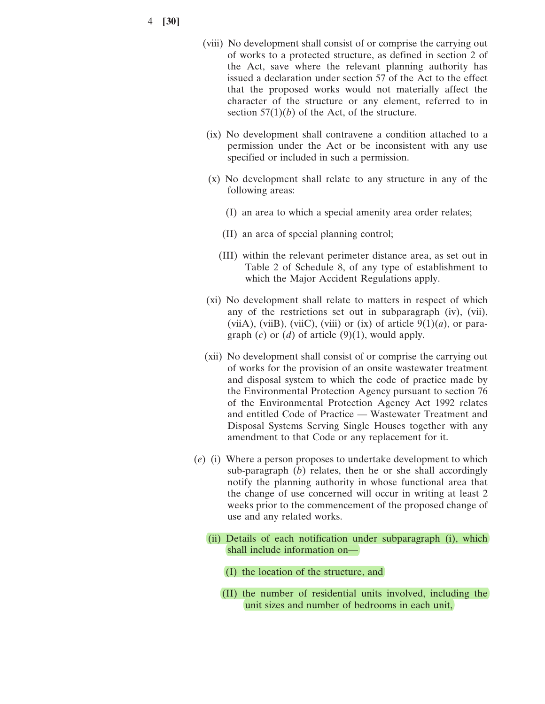4 **[30]**

- (viii) No development shall consist of or comprise the carrying out of works to a protected structure, as defined in section 2 of the Act, save where the relevant planning authority has issued a declaration under section 57 of the Act to the effect that the proposed works would not materially affect the character of the structure or any element, referred to in section  $57(1)(b)$  of the Act, of the structure.
- (ix) No development shall contravene a condition attached to a permission under the Act or be inconsistent with any use specified or included in such a permission.
- (x) No development shall relate to any structure in any of the following areas:
	- (I) an area to which a special amenity area order relates;
	- (II) an area of special planning control;
	- (III) within the relevant perimeter distance area, as set out in Table 2 of Schedule 8, of any type of establishment to which the Major Accident Regulations apply.
- (xi) No development shall relate to matters in respect of which any of the restrictions set out in subparagraph (iv), (vii), (viiA), (viiB), (viiC), (viii) or (ix) of article  $9(1)(a)$ , or paragraph  $(c)$  or  $(d)$  of article  $(9)(1)$ , would apply.
- (xii) No development shall consist of or comprise the carrying out of works for the provision of an onsite wastewater treatment and disposal system to which the code of practice made by the Environmental Protection Agency pursuant to section 76 of the Environmental Protection Agency Act 1992 relates and entitled Code of Practice — Wastewater Treatment and Disposal Systems Serving Single Houses together with any amendment to that Code or any replacement for it.
- (*e*) (i) Where a person proposes to undertake development to which sub-paragraph (*b*) relates, then he or she shall accordingly notify the planning authority in whose functional area that the change of use concerned will occur in writing at least 2 weeks prior to the commencement of the proposed change of use and any related works.
	- (ii) Details of each notification under subparagraph (i), which shall include information on—
		- (I) the location of the structure, and
		- (II) the number of residential units involved, including the unit sizes and number of bedrooms in each unit,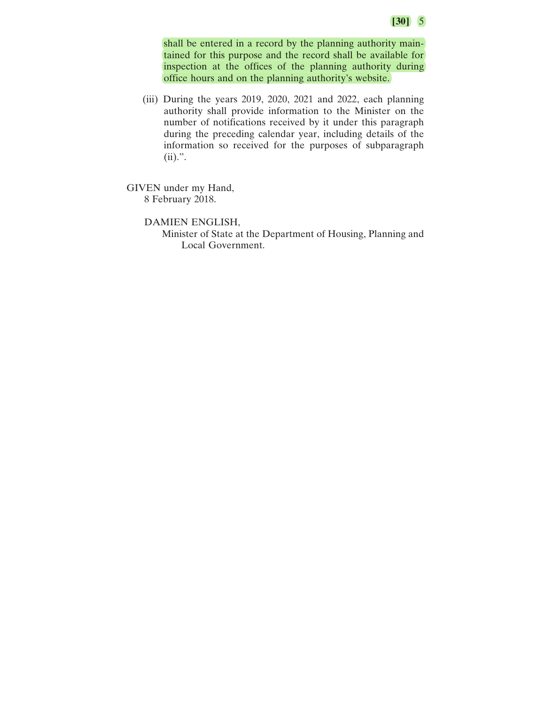shall be entered in a record by the planning authority maintained for this purpose and the record shall be available for inspection at the offices of the planning authority during office hours and on the planning authority's website.

(iii) During the years 2019, 2020, 2021 and 2022, each planning authority shall provide information to the Minister on the number of notifications received by it under this paragraph during the preceding calendar year, including details of the information so received for the purposes of subparagraph (ii).".

GIVEN under my Hand, 8 February 2018.

DAMIEN ENGLISH,

Minister of State at the Department of Housing, Planning and Local Government.